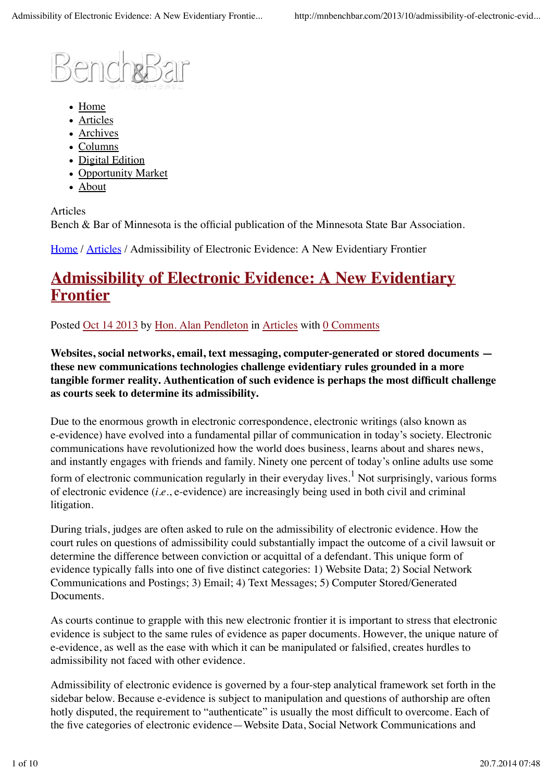

- Home
- Articles
- Archives
- Columns
- Digital Edition
- Opportunity Market
- About

Articles Bench & Bar of Minnesota is the official publication of the Minnesota State Bar Association.

Home / Articles / Admissibility of Electronic Evidence: A New Evidentiary Frontier

# **Admissibility of Electronic Evidence: A New Evidentiary Frontier**

Posted Oct 14 2013 by Hon. Alan Pendleton in Articles with 0 Comments

**Websites, social networks, email, text messaging, computer-generated or stored documents these new communications technologies challenge evidentiary rules grounded in a more tangible former reality. Authentication of such evidence is perhaps the most difficult challenge as courts seek to determine its admissibility.**

Due to the enormous growth in electronic correspondence, electronic writings (also known as e-evidence) have evolved into a fundamental pillar of communication in today's society. Electronic communications have revolutionized how the world does business, learns about and shares news, and instantly engages with friends and family. Ninety one percent of today's online adults use some form of electronic communication regularly in their everyday lives.<sup>1</sup> Not surprisingly, various forms of electronic evidence (*i.e.*, e-evidence) are increasingly being used in both civil and criminal litigation.

During trials, judges are often asked to rule on the admissibility of electronic evidence. How the court rules on questions of admissibility could substantially impact the outcome of a civil lawsuit or determine the difference between conviction or acquittal of a defendant. This unique form of evidence typically falls into one of five distinct categories: 1) Website Data; 2) Social Network Communications and Postings; 3) Email; 4) Text Messages; 5) Computer Stored/Generated **Documents** 

As courts continue to grapple with this new electronic frontier it is important to stress that electronic evidence is subject to the same rules of evidence as paper documents. However, the unique nature of e-evidence, as well as the ease with which it can be manipulated or falsified, creates hurdles to admissibility not faced with other evidence.

Admissibility of electronic evidence is governed by a four-step analytical framework set forth in the sidebar below. Because e-evidence is subject to manipulation and questions of authorship are often hotly disputed, the requirement to "authenticate" is usually the most difficult to overcome. Each of the five categories of electronic evidence—Website Data, Social Network Communications and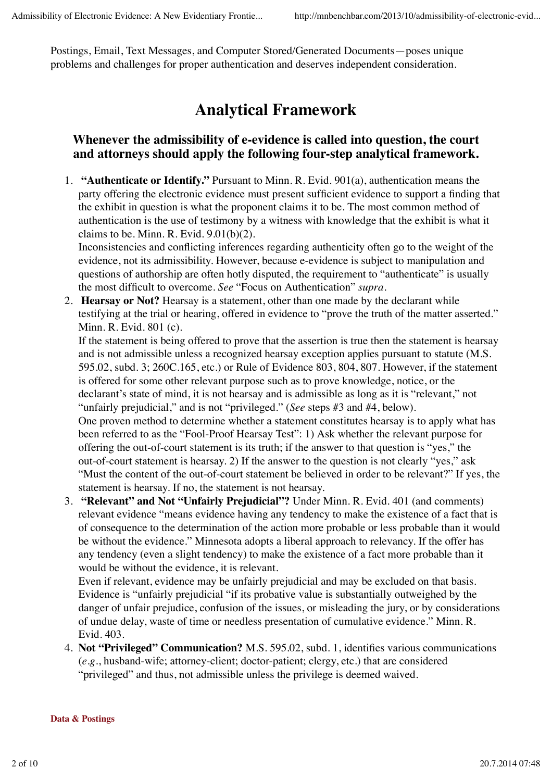Postings, Email, Text Messages, and Computer Stored/Generated Documents—poses unique problems and challenges for proper authentication and deserves independent consideration.

# **Analytical Framework**

## **Whenever the admissibility of e-evidence is called into question, the court and attorneys should apply the following four-step analytical framework.**

**"Authenticate or Identify."** Pursuant to Minn. R. Evid. 901(a), authentication means the 1. party offering the electronic evidence must present sufficient evidence to support a finding that the exhibit in question is what the proponent claims it to be. The most common method of authentication is the use of testimony by a witness with knowledge that the exhibit is what it claims to be. Minn. R. Evid. 9.01(b)(2).

Inconsistencies and conflicting inferences regarding authenticity often go to the weight of the evidence, not its admissibility. However, because e-evidence is subject to manipulation and questions of authorship are often hotly disputed, the requirement to "authenticate" is usually the most difficult to overcome. *See* "Focus on Authentication" *supra*.

**Hearsay or Not?** Hearsay is a statement, other than one made by the declarant while 2. testifying at the trial or hearing, offered in evidence to "prove the truth of the matter asserted." Minn. R. Evid. 801 (c).

If the statement is being offered to prove that the assertion is true then the statement is hearsay and is not admissible unless a recognized hearsay exception applies pursuant to statute (M.S. 595.02, subd. 3; 260C.165, etc.) or Rule of Evidence 803, 804, 807. However, if the statement is offered for some other relevant purpose such as to prove knowledge, notice, or the declarant's state of mind, it is not hearsay and is admissible as long as it is "relevant," not "unfairly prejudicial," and is not "privileged." (*See* steps #3 and #4, below). One proven method to determine whether a statement constitutes hearsay is to apply what has been referred to as the "Fool-Proof Hearsay Test": 1) Ask whether the relevant purpose for offering the out-of-court statement is its truth; if the answer to that question is "yes," the out-of-court statement is hearsay. 2) If the answer to the question is not clearly "yes," ask "Must the content of the out-of-court statement be believed in order to be relevant?" If yes, the statement is hearsay. If no, the statement is not hearsay.

 **"Relevant" and Not "Unfairly Prejudicial"?** Under Minn. R. Evid. 401 (and comments) 3. relevant evidence "means evidence having any tendency to make the existence of a fact that is of consequence to the determination of the action more probable or less probable than it would be without the evidence." Minnesota adopts a liberal approach to relevancy. If the offer has any tendency (even a slight tendency) to make the existence of a fact more probable than it would be without the evidence, it is relevant.

Even if relevant, evidence may be unfairly prejudicial and may be excluded on that basis. Evidence is "unfairly prejudicial "if its probative value is substantially outweighed by the danger of unfair prejudice, confusion of the issues, or misleading the jury, or by considerations of undue delay, waste of time or needless presentation of cumulative evidence." Minn. R. Evid. 403.

**Not "Privileged" Communication?** M.S. 595.02, subd. 1, identifies various communications 4. (*e.g.*, husband-wife; attorney-client; doctor-patient; clergy, etc.) that are considered "privileged" and thus, not admissible unless the privilege is deemed waived.

#### **Data & Postings**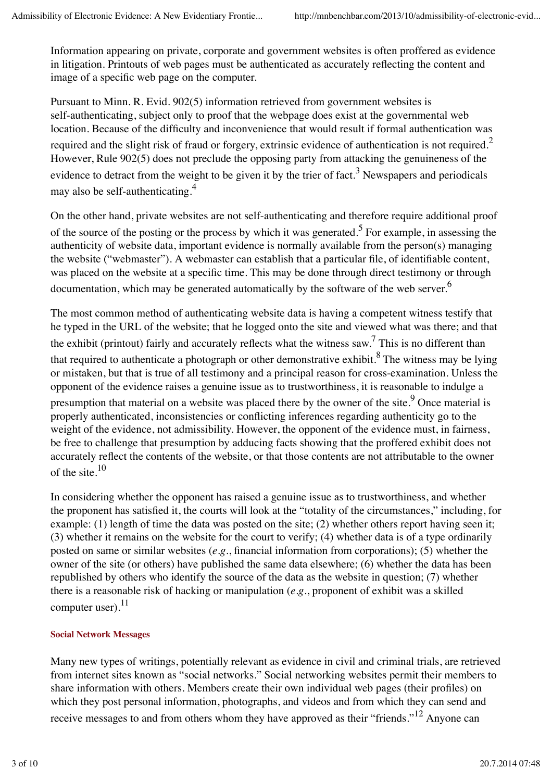Information appearing on private, corporate and government websites is often proffered as evidence in litigation. Printouts of web pages must be authenticated as accurately reflecting the content and image of a specific web page on the computer.

Pursuant to Minn. R. Evid. 902(5) information retrieved from government websites is self-authenticating, subject only to proof that the webpage does exist at the governmental web location. Because of the difficulty and inconvenience that would result if formal authentication was required and the slight risk of fraud or forgery, extrinsic evidence of authentication is not required.<sup>2</sup> However, Rule 902(5) does not preclude the opposing party from attacking the genuineness of the evidence to detract from the weight to be given it by the trier of fact.<sup>3</sup> Newspapers and periodicals may also be self-authenticating.4

On the other hand, private websites are not self-authenticating and therefore require additional proof of the source of the posting or the process by which it was generated.<sup>5</sup> For example, in assessing the authenticity of website data, important evidence is normally available from the person(s) managing the website ("webmaster"). A webmaster can establish that a particular file, of identifiable content, was placed on the website at a specific time. This may be done through direct testimony or through documentation, which may be generated automatically by the software of the web server.<sup>6</sup>

The most common method of authenticating website data is having a competent witness testify that he typed in the URL of the website; that he logged onto the site and viewed what was there; and that the exhibit (printout) fairly and accurately reflects what the witness saw.<sup>7</sup> This is no different than that required to authenticate a photograph or other demonstrative exhibit.<sup>8</sup> The witness may be lying or mistaken, but that is true of all testimony and a principal reason for cross-examination. Unless the opponent of the evidence raises a genuine issue as to trustworthiness, it is reasonable to indulge a presumption that material on a website was placed there by the owner of the site. <sup>9</sup> Once material is properly authenticated, inconsistencies or conflicting inferences regarding authenticity go to the weight of the evidence, not admissibility. However, the opponent of the evidence must, in fairness, be free to challenge that presumption by adducing facts showing that the proffered exhibit does not accurately reflect the contents of the website, or that those contents are not attributable to the owner of the site.10

In considering whether the opponent has raised a genuine issue as to trustworthiness, and whether the proponent has satisfied it, the courts will look at the "totality of the circumstances," including, for example: (1) length of time the data was posted on the site; (2) whether others report having seen it; (3) whether it remains on the website for the court to verify; (4) whether data is of a type ordinarily posted on same or similar websites (*e.g.*, financial information from corporations); (5) whether the owner of the site (or others) have published the same data elsewhere; (6) whether the data has been republished by others who identify the source of the data as the website in question; (7) whether there is a reasonable risk of hacking or manipulation (*e.g.*, proponent of exhibit was a skilled computer user). $^{11}$ 

### **Social Network Messages**

Many new types of writings, potentially relevant as evidence in civil and criminal trials, are retrieved from internet sites known as "social networks." Social networking websites permit their members to share information with others. Members create their own individual web pages (their profiles) on which they post personal information, photographs, and videos and from which they can send and receive messages to and from others whom they have approved as their "friends."<sup>12</sup> Anyone can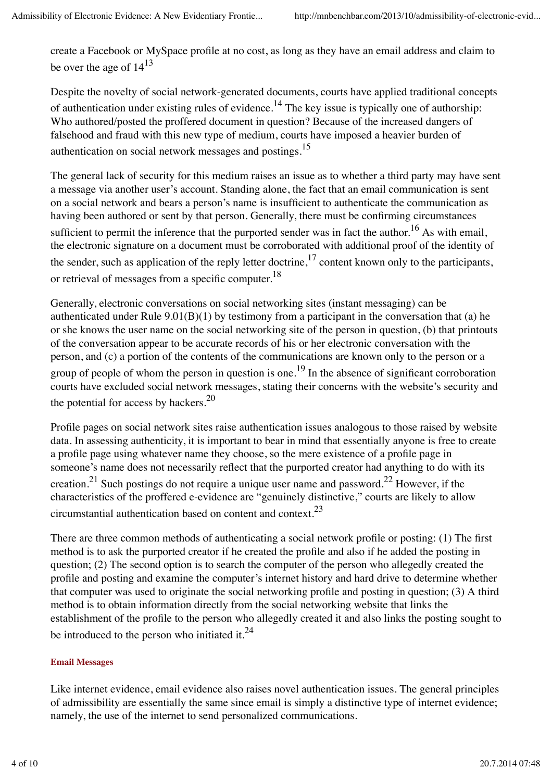create a Facebook or MySpace profile at no cost, as long as they have an email address and claim to be over the age of  $14^{13}$ 

Despite the novelty of social network-generated documents, courts have applied traditional concepts of authentication under existing rules of evidence.<sup>14</sup> The key issue is typically one of authorship: Who authored/posted the proffered document in question? Because of the increased dangers of falsehood and fraud with this new type of medium, courts have imposed a heavier burden of authentication on social network messages and postings.15

The general lack of security for this medium raises an issue as to whether a third party may have sent a message via another user's account. Standing alone, the fact that an email communication is sent on a social network and bears a person's name is insufficient to authenticate the communication as having been authored or sent by that person. Generally, there must be confirming circumstances sufficient to permit the inference that the purported sender was in fact the author.<sup>16</sup> As with email, the electronic signature on a document must be corroborated with additional proof of the identity of the sender, such as application of the reply letter doctrine,  $17$  content known only to the participants, or retrieval of messages from a specific computer.<sup>18</sup>

Generally, electronic conversations on social networking sites (instant messaging) can be authenticated under Rule 9.01(B)(1) by testimony from a participant in the conversation that (a) he or she knows the user name on the social networking site of the person in question, (b) that printouts of the conversation appear to be accurate records of his or her electronic conversation with the person, and (c) a portion of the contents of the communications are known only to the person or a group of people of whom the person in question is one.<sup>19</sup> In the absence of significant corroboration courts have excluded social network messages, stating their concerns with the website's security and the potential for access by hackers.<sup>20</sup>

Profile pages on social network sites raise authentication issues analogous to those raised by website data. In assessing authenticity, it is important to bear in mind that essentially anyone is free to create a profile page using whatever name they choose, so the mere existence of a profile page in someone's name does not necessarily reflect that the purported creator had anything to do with its creation.<sup>21</sup> Such postings do not require a unique user name and password.<sup>22</sup> However, if the characteristics of the proffered e-evidence are "genuinely distinctive," courts are likely to allow circumstantial authentication based on content and context.23

There are three common methods of authenticating a social network profile or posting: (1) The first method is to ask the purported creator if he created the profile and also if he added the posting in question; (2) The second option is to search the computer of the person who allegedly created the profile and posting and examine the computer's internet history and hard drive to determine whether that computer was used to originate the social networking profile and posting in question; (3) A third method is to obtain information directly from the social networking website that links the establishment of the profile to the person who allegedly created it and also links the posting sought to be introduced to the person who initiated it. $^{24}$ 

#### **Email Messages**

Like internet evidence, email evidence also raises novel authentication issues. The general principles of admissibility are essentially the same since email is simply a distinctive type of internet evidence; namely, the use of the internet to send personalized communications.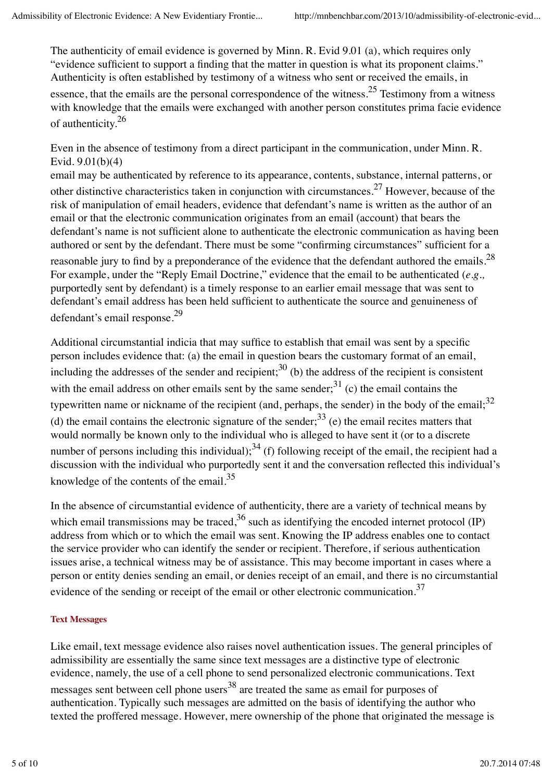The authenticity of email evidence is governed by Minn. R. Evid 9.01 (a), which requires only "evidence sufficient to support a finding that the matter in question is what its proponent claims." Authenticity is often established by testimony of a witness who sent or received the emails, in essence, that the emails are the personal correspondence of the witness.<sup>25</sup> Testimony from a witness with knowledge that the emails were exchanged with another person constitutes prima facie evidence of authenticity.<sup>26</sup>

Even in the absence of testimony from a direct participant in the communication, under Minn. R. Evid. 9.01(b)(4)

email may be authenticated by reference to its appearance, contents, substance, internal patterns, or other distinctive characteristics taken in conjunction with circumstances.<sup>27</sup> However, because of the risk of manipulation of email headers, evidence that defendant's name is written as the author of an email or that the electronic communication originates from an email (account) that bears the defendant's name is not sufficient alone to authenticate the electronic communication as having been authored or sent by the defendant. There must be some "confirming circumstances" sufficient for a reasonable jury to find by a preponderance of the evidence that the defendant authored the emails.<sup>28</sup> For example, under the "Reply Email Doctrine," evidence that the email to be authenticated (*e.g.,* purportedly sent by defendant) is a timely response to an earlier email message that was sent to defendant's email address has been held sufficient to authenticate the source and genuineness of defendant's email response.29

Additional circumstantial indicia that may suffice to establish that email was sent by a specific person includes evidence that: (a) the email in question bears the customary format of an email, including the addresses of the sender and recipient;<sup>30</sup> (b) the address of the recipient is consistent with the email address on other emails sent by the same sender; $31$  (c) the email contains the typewritten name or nickname of the recipient (and, perhaps, the sender) in the body of the email;<sup>32</sup> (d) the email contains the electronic signature of the sender;  $33$  (e) the email recites matters that would normally be known only to the individual who is alleged to have sent it (or to a discrete number of persons including this individual);  $34$  (f) following receipt of the email, the recipient had a discussion with the individual who purportedly sent it and the conversation reflected this individual's knowledge of the contents of the email.<sup>35</sup>

In the absence of circumstantial evidence of authenticity, there are a variety of technical means by which email transmissions may be traced,  $36$  such as identifying the encoded internet protocol (IP) address from which or to which the email was sent. Knowing the IP address enables one to contact the service provider who can identify the sender or recipient. Therefore, if serious authentication issues arise, a technical witness may be of assistance. This may become important in cases where a person or entity denies sending an email, or denies receipt of an email, and there is no circumstantial evidence of the sending or receipt of the email or other electronic communication.<sup>37</sup>

#### **Text Messages**

Like email, text message evidence also raises novel authentication issues. The general principles of admissibility are essentially the same since text messages are a distinctive type of electronic evidence, namely, the use of a cell phone to send personalized electronic communications. Text messages sent between cell phone users<sup>38</sup> are treated the same as email for purposes of authentication. Typically such messages are admitted on the basis of identifying the author who texted the proffered message. However, mere ownership of the phone that originated the message is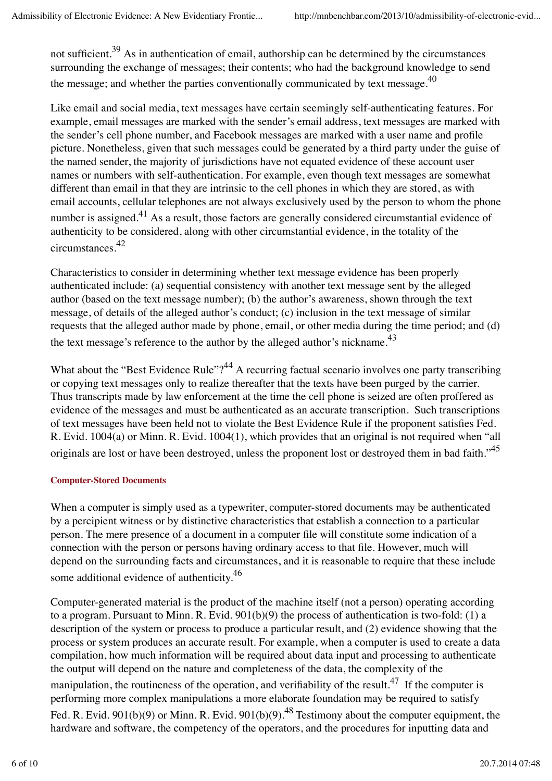not sufficient.<sup>39</sup> As in authentication of email, authorship can be determined by the circumstances surrounding the exchange of messages; their contents; who had the background knowledge to send the message; and whether the parties conventionally communicated by text message.<sup>40</sup>

Like email and social media, text messages have certain seemingly self-authenticating features. For example, email messages are marked with the sender's email address, text messages are marked with the sender's cell phone number, and Facebook messages are marked with a user name and profile picture. Nonetheless, given that such messages could be generated by a third party under the guise of the named sender, the majority of jurisdictions have not equated evidence of these account user names or numbers with self-authentication. For example, even though text messages are somewhat different than email in that they are intrinsic to the cell phones in which they are stored, as with email accounts, cellular telephones are not always exclusively used by the person to whom the phone number is assigned.<sup>41</sup> As a result, those factors are generally considered circumstantial evidence of authenticity to be considered, along with other circumstantial evidence, in the totality of the circumstances.42

Characteristics to consider in determining whether text message evidence has been properly authenticated include: (a) sequential consistency with another text message sent by the alleged author (based on the text message number); (b) the author's awareness, shown through the text message, of details of the alleged author's conduct; (c) inclusion in the text message of similar requests that the alleged author made by phone, email, or other media during the time period; and (d) the text message's reference to the author by the alleged author's nickname.<sup>43</sup>

What about the "Best Evidence Rule"?<sup>44</sup> A recurring factual scenario involves one party transcribing or copying text messages only to realize thereafter that the texts have been purged by the carrier. Thus transcripts made by law enforcement at the time the cell phone is seized are often proffered as evidence of the messages and must be authenticated as an accurate transcription. Such transcriptions of text messages have been held not to violate the Best Evidence Rule if the proponent satisfies Fed. R. Evid. 1004(a) or Minn. R. Evid. 1004(1), which provides that an original is not required when "all originals are lost or have been destroyed, unless the proponent lost or destroyed them in bad faith."<sup>45</sup>

#### **Computer-Stored Documents**

When a computer is simply used as a typewriter, computer-stored documents may be authenticated by a percipient witness or by distinctive characteristics that establish a connection to a particular person. The mere presence of a document in a computer file will constitute some indication of a connection with the person or persons having ordinary access to that file. However, much will depend on the surrounding facts and circumstances, and it is reasonable to require that these include some additional evidence of authenticity.<sup>46</sup>

Computer-generated material is the product of the machine itself (not a person) operating according to a program. Pursuant to Minn. R. Evid. 901(b)(9) the process of authentication is two-fold: (1) a description of the system or process to produce a particular result, and (2) evidence showing that the process or system produces an accurate result. For example, when a computer is used to create a data compilation, how much information will be required about data input and processing to authenticate the output will depend on the nature and completeness of the data, the complexity of the manipulation, the routineness of the operation, and verifiability of the result.<sup>47</sup> If the computer is performing more complex manipulations a more elaborate foundation may be required to satisfy Fed. R. Evid. 901(b)(9) or Minn. R. Evid. 901(b)(9).<sup>48</sup> Testimony about the computer equipment, the hardware and software, the competency of the operators, and the procedures for inputting data and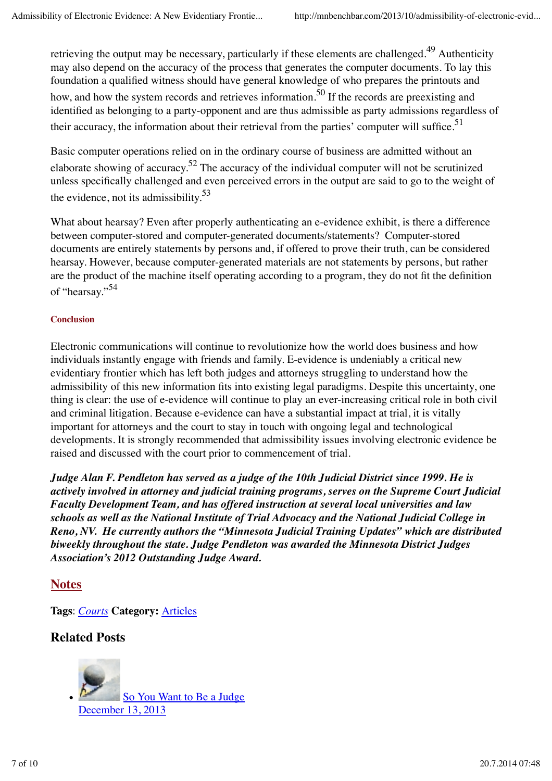retrieving the output may be necessary, particularly if these elements are challenged.<sup>49</sup> Authenticity may also depend on the accuracy of the process that generates the computer documents. To lay this foundation a qualified witness should have general knowledge of who prepares the printouts and how, and how the system records and retrieves information.<sup>50</sup> If the records are preexisting and identified as belonging to a party-opponent and are thus admissible as party admissions regardless of their accuracy, the information about their retrieval from the parties' computer will suffice.<sup>51</sup>

Basic computer operations relied on in the ordinary course of business are admitted without an elaborate showing of accuracy.<sup>52</sup> The accuracy of the individual computer will not be scrutinized unless specifically challenged and even perceived errors in the output are said to go to the weight of the evidence, not its admissibility. $53$ 

What about hearsay? Even after properly authenticating an e-evidence exhibit, is there a difference between computer-stored and computer-generated documents/statements? Computer-stored documents are entirely statements by persons and, if offered to prove their truth, can be considered hearsay. However, because computer-generated materials are not statements by persons, but rather are the product of the machine itself operating according to a program, they do not fit the definition of "hearsay."54

#### **Conclusion**

Electronic communications will continue to revolutionize how the world does business and how individuals instantly engage with friends and family. E-evidence is undeniably a critical new evidentiary frontier which has left both judges and attorneys struggling to understand how the admissibility of this new information fits into existing legal paradigms. Despite this uncertainty, one thing is clear: the use of e-evidence will continue to play an ever-increasing critical role in both civil and criminal litigation. Because e-evidence can have a substantial impact at trial, it is vitally important for attorneys and the court to stay in touch with ongoing legal and technological developments. It is strongly recommended that admissibility issues involving electronic evidence be raised and discussed with the court prior to commencement of trial.

*Judge Alan F. Pendleton has served as a judge of the 10th Judicial District since 1999. He is actively involved in attorney and judicial training programs, serves on the Supreme Court Judicial Faculty Development Team, and has offered instruction at several local universities and law schools as well as the National Institute of Trial Advocacy and the National Judicial College in Reno, NV. He currently authors the "Minnesota Judicial Training Updates" which are distributed biweekly throughout the state. Judge Pendleton was awarded the Minnesota District Judges Association's 2012 Outstanding Judge Award.*

## **Notes**

**Tags**: *Courts* **Category:** Articles

## **Related Posts**

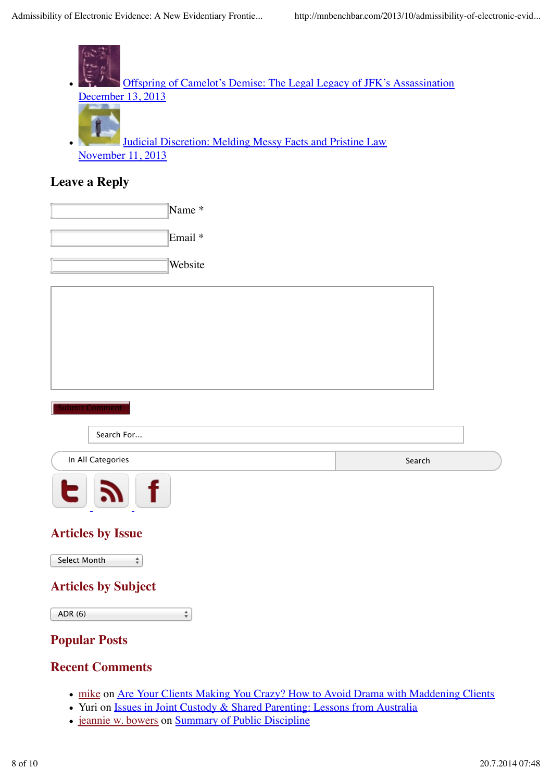

- mike on Are Your Clients Making You Crazy? How to Avoid Drama with Maddening Clients
- Yuri on Issues in Joint Custody & Shared Parenting: Lessons from Australia
- jeannie w. bowers on Summary of Public Discipline